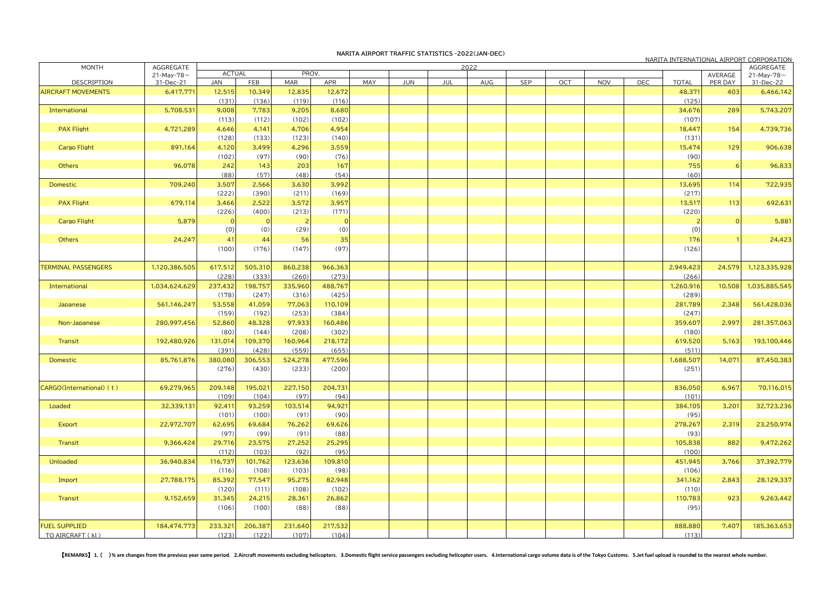|                            |                               |                  |               |            |         |     |     |     |     |     |     |            |            |                    |                    | NARITA INTERNATIONAL AIRPORT CORPORATION |
|----------------------------|-------------------------------|------------------|---------------|------------|---------|-----|-----|-----|-----|-----|-----|------------|------------|--------------------|--------------------|------------------------------------------|
| <b>MONTH</b>               | AGGREGATE                     | <b>ACTUAL</b>    | 2022<br>PROV. |            |         |     |     |     |     |     |     | AGGREGATE  |            |                    |                    |                                          |
| DESCRIPTION                | 21-May-78 $\sim$<br>31-Dec-21 | <b>JAN</b>       | FEB           | <b>MAR</b> | APR     | MAY | JUN | JUL | AUG | SEP | OCT | <b>NOV</b> | <b>DEC</b> | <b>TOTAL</b>       | AVERAGE<br>PER DAY | 21-May-78 $\sim$<br>31-Dec-22            |
|                            |                               |                  |               |            | 12,672  |     |     |     |     |     |     |            |            |                    | 403                |                                          |
| <b>AIRCRAFT MOVEMENTS</b>  | 6,417,771                     | 12,515           | 10,349        | 12,835     |         |     |     |     |     |     |     |            |            | 48,371             |                    | 6,466,142                                |
|                            |                               | (131)            | (136)         | (119)      | (116)   |     |     |     |     |     |     |            |            | (125)              |                    |                                          |
| International              | 5,708,531                     | 9,008            | 7,783         | 9,205      | 8,680   |     |     |     |     |     |     |            |            | 34,676             | 289                | 5,743,207                                |
|                            |                               | (113)            | (112)         | (102)      | (102)   |     |     |     |     |     |     |            |            | (107)              |                    |                                          |
| <b>PAX Flight</b>          | 4,721,289                     | 4,646            | 4,141         | 4,706      | 4,954   |     |     |     |     |     |     |            |            | 18,447             | 154                | 4,739,736                                |
|                            |                               | (128)            | (133)         | (123)      | (140)   |     |     |     |     |     |     |            |            | (131)              |                    |                                          |
| <b>Cargo Flight</b>        | 891,164                       | 4,120            | 3,499         | 4,296      | 3,559   |     |     |     |     |     |     |            |            | 15,474             | 129                | 906,638                                  |
|                            |                               | (102)            | (97)          | (90)       | (76)    |     |     |     |     |     |     |            |            | (90)               |                    |                                          |
| Others                     | 96,078                        | 242              | 143           | 203        | 167     |     |     |     |     |     |     |            |            | 755                |                    | 96,833                                   |
|                            |                               | (88)             | (57)          | (48)       | (54)    |     |     |     |     |     |     |            |            | (60)               |                    |                                          |
| Domestic                   | 709,240                       | 3,507            | 2,566         | 3,630      | 3,992   |     |     |     |     |     |     |            |            | 13,695             | 114                | 722,935                                  |
|                            |                               | (222)            | (390)         | (211)      | (169)   |     |     |     |     |     |     |            |            | (217)              |                    |                                          |
| <b>PAX Flight</b>          | 679,114                       | 3,466            | 2,522         | 3,572      | 3,957   |     |     |     |     |     |     |            |            | 13,517             | 113                | 692,631                                  |
|                            |                               | (226)            | (400)         | (213)      | (171)   |     |     |     |     |     |     |            |            | (220)              |                    |                                          |
| <b>Cargo Flight</b>        | 5,879                         |                  |               |            |         |     |     |     |     |     |     |            |            |                    |                    | 5,881                                    |
|                            |                               | (0)              | (0)           | (29)       | (0)     |     |     |     |     |     |     |            |            | (0)                |                    |                                          |
| Others                     | 24,247                        | 41               | 44            | 56         | 35      |     |     |     |     |     |     |            |            | 176                |                    | 24,423                                   |
|                            |                               |                  | (176)         |            | (97)    |     |     |     |     |     |     |            |            |                    |                    |                                          |
|                            |                               | (100)            |               | (147)      |         |     |     |     |     |     |     |            |            | (126)              |                    |                                          |
| <b>TERMINAL PASSENGERS</b> | 1,120,386,505                 | 617,512          | 505,310       | 860,238    | 966,363 |     |     |     |     |     |     |            |            | 2,949,423          | 24,579             | 1,123,335,928                            |
|                            |                               | (228)            | (333)         | (260)      | (273)   |     |     |     |     |     |     |            |            | (266)              |                    |                                          |
|                            |                               |                  | 198,757       | 335,960    | 488,767 |     |     |     |     |     |     |            |            |                    |                    |                                          |
| International              | 1,034,624,629                 | 237,432<br>(178) | (247)         | (316)      | (425)   |     |     |     |     |     |     |            |            | 1,260,916<br>(289) | 10,508             | 1,035,885,545                            |
|                            |                               |                  |               |            |         |     |     |     |     |     |     |            |            |                    |                    |                                          |
| Japanese                   | 561,146,247                   | 53,558           | 41,059        | 77,063     | 110,109 |     |     |     |     |     |     |            |            | 281,789            | 2,348              | 561,428,036                              |
|                            |                               | (159)            | (192)         | (253)      | (384)   |     |     |     |     |     |     |            |            | (247)              |                    |                                          |
| Non-Japanese               | 280,997,456                   | 52,860           | 48,328        | 97,933     | 160,486 |     |     |     |     |     |     |            |            | 359,607            | 2,997              | 281,357,063                              |
|                            |                               | (80)             | (144)         | (208)      | (302)   |     |     |     |     |     |     |            |            | (180)              |                    |                                          |
| Transit                    | 192,480,926                   | 131,014          | 109,370       | 160,964    | 218,172 |     |     |     |     |     |     |            |            | 619,520            | 5,163              | 193,100,446                              |
|                            |                               | (391)            | (428)         | (559)      | (655)   |     |     |     |     |     |     |            |            | (511)              |                    |                                          |
| Domestic                   | 85,761,876                    | 380,080          | 306,553       | 524,278    | 477,596 |     |     |     |     |     |     |            |            | 1,688,507          | 14,071             | 87,450,383                               |
|                            |                               | (276)            | (430)         | (233)      | (200)   |     |     |     |     |     |     |            |            | (251)              |                    |                                          |
|                            |                               |                  |               |            |         |     |     |     |     |     |     |            |            |                    |                    |                                          |
| CARGO(International) (t)   | 69,279,965                    | 209,148          | 195,021       | 227,150    | 204,731 |     |     |     |     |     |     |            |            | 836,050            | 6,967              | 70,116,015                               |
|                            |                               | (109)            | (104)         | (97)       | (94)    |     |     |     |     |     |     |            |            | (101)              |                    |                                          |
| Loaded                     | 32,339,131                    | 92,411           | 93,259        | 103,514    | 94,921  |     |     |     |     |     |     |            |            | 384,105            | 3,201              | 32,723,236                               |
|                            |                               | (101)            | (100)         | (91)       | (90)    |     |     |     |     |     |     |            |            | (95)               |                    |                                          |
| Export                     | 22,972,707                    | 62,695           | 69,684        | 76,262     | 69,626  |     |     |     |     |     |     |            |            | 278,267            | 2,319              | 23,250,974                               |
|                            |                               | (97)             | (99)          | (91)       | (88)    |     |     |     |     |     |     |            |            | (93)               |                    |                                          |
| Transit                    | 9,366,424                     | 29,716           | 23,575        | 27,252     | 25,295  |     |     |     |     |     |     |            |            | 105,838            | 882                | 9,472,262                                |
|                            |                               | (112)            | (103)         | (92)       | (95)    |     |     |     |     |     |     |            |            | (100)              |                    |                                          |
| Unloaded                   | 36,940,834                    | 116,737          | 101,762       | 123,636    | 109,810 |     |     |     |     |     |     |            |            | 451,945            | 3,766              | 37,392,779                               |
|                            |                               | (116)            | (108)         | (103)      | (98)    |     |     |     |     |     |     |            |            | (106)              |                    |                                          |
| Import                     | 27,788,175                    | 85,392           | 77,547        | 95,275     | 82,948  |     |     |     |     |     |     |            |            | 341,162            | 2,843              | 28,129,337                               |
|                            |                               |                  |               |            |         |     |     |     |     |     |     |            |            |                    |                    |                                          |
|                            |                               | (120)            | (111)         | (108)      | (102)   |     |     |     |     |     |     |            |            | (110)              |                    |                                          |
| Transit                    | 9,152,659                     | 31,345           | 24,215        | 28,361     | 26,862  |     |     |     |     |     |     |            |            | 110,783            | 923                | 9,263,442                                |
|                            |                               | (106)            | (100)         | (88)       | (88)    |     |     |     |     |     |     |            |            | (95)               |                    |                                          |
|                            |                               |                  |               |            |         |     |     |     |     |     |     |            |            |                    |                    |                                          |
| <b>FUEL SUPPLIED</b>       | 184,474,773                   | 233,321          | 206,387       | 231,640    | 217,532 |     |     |     |     |     |     |            |            | 888,880            | 7,407              | 185,363,653                              |
| TO AIRCRAFT (kl)           |                               | (123)            | (122)         | (107)      | (104)   |     |     |     |     |     |     |            |            | (113)              |                    |                                          |

[REMARKS] 1. ()% are changes from the previous year same period. 2.Aircraft movements excluding helicopters. 3.Domestic flight service passengers excluding helicopter users. 4.International cargo volume data is of the Toky

## **NARITA AIRPORT TRAFFIC STATISTICS -2022(JAN-DEC)**